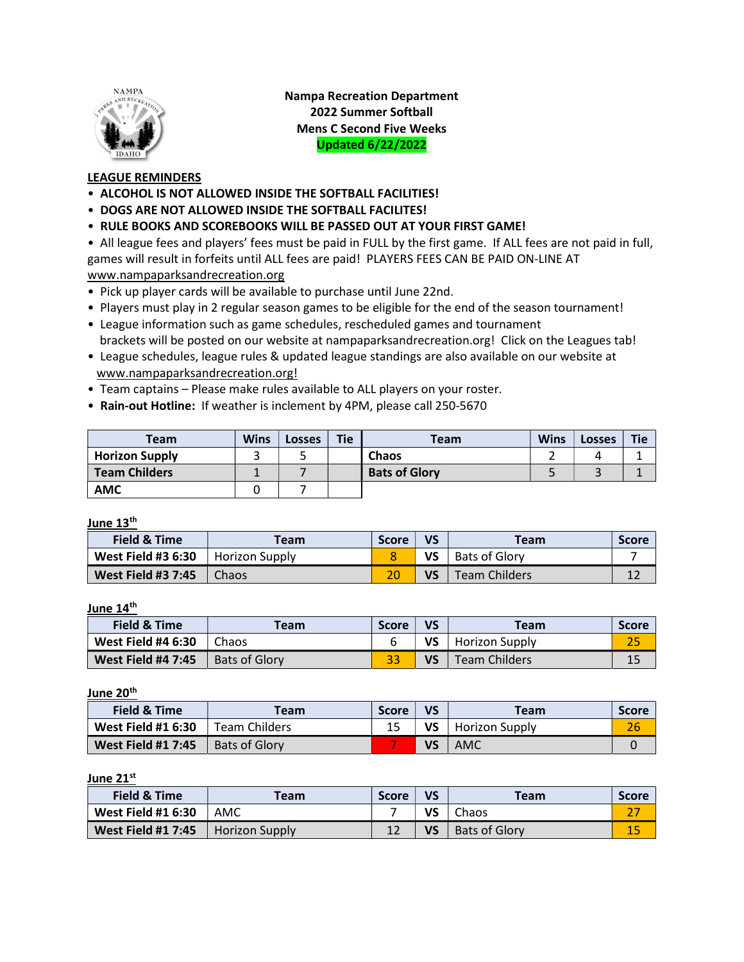

Nampa Recreation Department 2022 Summer Softball Mens C Second Five Weeks Updated 6/22/2022

## LEAGUE REMINDERS

- ALCOHOL IS NOT ALLOWED INSIDE THE SOFTBALL FACILITIES!
- DOGS ARE NOT ALLOWED INSIDE THE SOFTBALL FACILITES!
- RULE BOOKS AND SCOREBOOKS WILL BE PASSED OUT AT YOUR FIRST GAME!

• All league fees and players' fees must be paid in FULL by the first game. If ALL fees are not paid in full, games will result in forfeits until ALL fees are paid! PLAYERS FEES CAN BE PAID ON-LINE AT www.nampaparksandrecreation.org

- Pick up player cards will be available to purchase until June 22nd.
- Players must play in 2 regular season games to be eligible for the end of the season tournament!
- League information such as game schedules, rescheduled games and tournament brackets will be posted on our website at nampaparksandrecreation.org! Click on the Leagues tab!
- League schedules, league rules & updated league standings are also available on our website at www.nampaparksandrecreation.org!
- Team captains Please make rules available to ALL players on your roster.
- Rain-out Hotline: If weather is inclement by 4PM, please call 250-5670

| Team                  | <b>Wins</b> | Losses | <b>Tie</b> | <b>Team</b>          | <b>Wins</b> | <b>Losses</b> | <b>Tie</b> |
|-----------------------|-------------|--------|------------|----------------------|-------------|---------------|------------|
| <b>Horizon Supply</b> |             |        |            | Chaos                |             |               |            |
| <b>Team Childers</b>  |             |        |            | <b>Bats of Glory</b> |             |               |            |
| <b>AMC</b>            |             |        |            |                      |             |               |            |

June 13<sup>th</sup>

| <b>Field &amp; Time</b>   | Team           | <b>Score</b> | VS | <b>Team</b>          | <b>Score</b> |
|---------------------------|----------------|--------------|----|----------------------|--------------|
| <b>West Field #3 6:30</b> | Horizon Supply |              | VS | <b>Bats of Glory</b> |              |
| <b>West Field #3 7:45</b> | <b>Chaos</b>   |              | VS | <b>Team Childers</b> | ᅩᄼ           |

June 14<sup>th</sup>

| <b>Field &amp; Time</b>   | <b>Team</b>          | <b>Score</b> | VS | Team                 | <b>Score</b> |
|---------------------------|----------------------|--------------|----|----------------------|--------------|
| <b>West Field #4 6:30</b> | Chaos                |              | VS | Horizon Supply       |              |
| <b>West Field #4 7:45</b> | <b>Bats of Glory</b> |              | VS | <b>Team Childers</b> | 15           |

June 20<sup>th</sup>

| Field & Time              | Team                 | <b>Score</b> | VS | Team           | <b>Score</b> |
|---------------------------|----------------------|--------------|----|----------------|--------------|
| <b>West Field #1 6:30</b> | <b>Team Childers</b> |              | VS | Horizon Supply | 26           |
| <b>West Field #1 7:45</b> | <b>Bats of Glory</b> |              | VS | AMC            |              |

## June 21<sup>st</sup>

| Field & Time              | Team                  | <b>Score</b> | VS | <b>Team</b>   | <b>Score</b> |
|---------------------------|-----------------------|--------------|----|---------------|--------------|
| <b>West Field #1 6:30</b> | AMC                   |              | VS | Chaos         |              |
| <b>West Field #1 7:45</b> | <b>Horizon Supply</b> |              | VS | Bats of Glory |              |